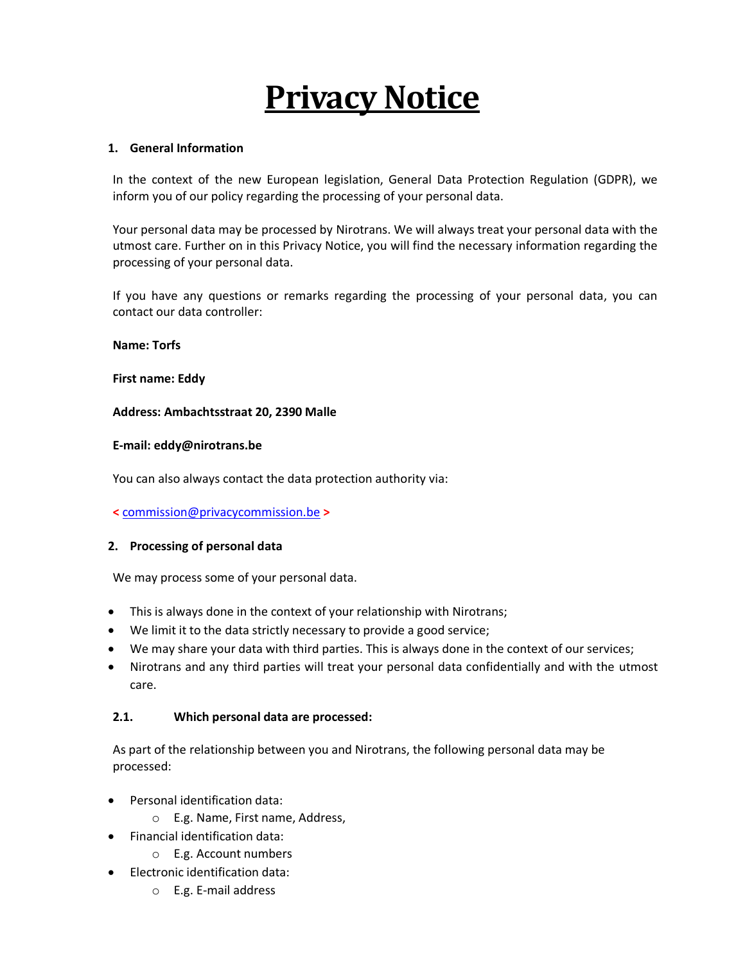# **Privacy Notice**

## **1. General Information**

In the context of the new European legislation, General Data Protection Regulation (GDPR), we inform you of our policy regarding the processing of your personal data.

Your personal data may be processed by Nirotrans. We will always treat your personal data with the utmost care. Further on in this Privacy Notice, you will find the necessary information regarding the processing of your personal data.

If you have any questions or remarks regarding the processing of your personal data, you can contact our data controller:

#### **Name: Torfs**

## **First name: Eddy**

#### **Address: Ambachtsstraat 20, 2390 Malle**

#### **E-mail: eddy@nirotrans.be**

You can also always contact the data protection authority via:

**<** commission@privacycommission.be **>**

## **2. Processing of personal data**

We may process some of your personal data.

- This is always done in the context of your relationship with Nirotrans;
- We limit it to the data strictly necessary to provide a good service;
- We may share your data with third parties. This is always done in the context of our services;
- Nirotrans and any third parties will treat your personal data confidentially and with the utmost care.

## **2.1. Which personal data are processed:**

As part of the relationship between you and Nirotrans, the following personal data may be processed:

- Personal identification data:
	- o E.g. Name, First name, Address,
	- Financial identification data:
		- o E.g. Account numbers
- Electronic identification data:
	- o E.g. E-mail address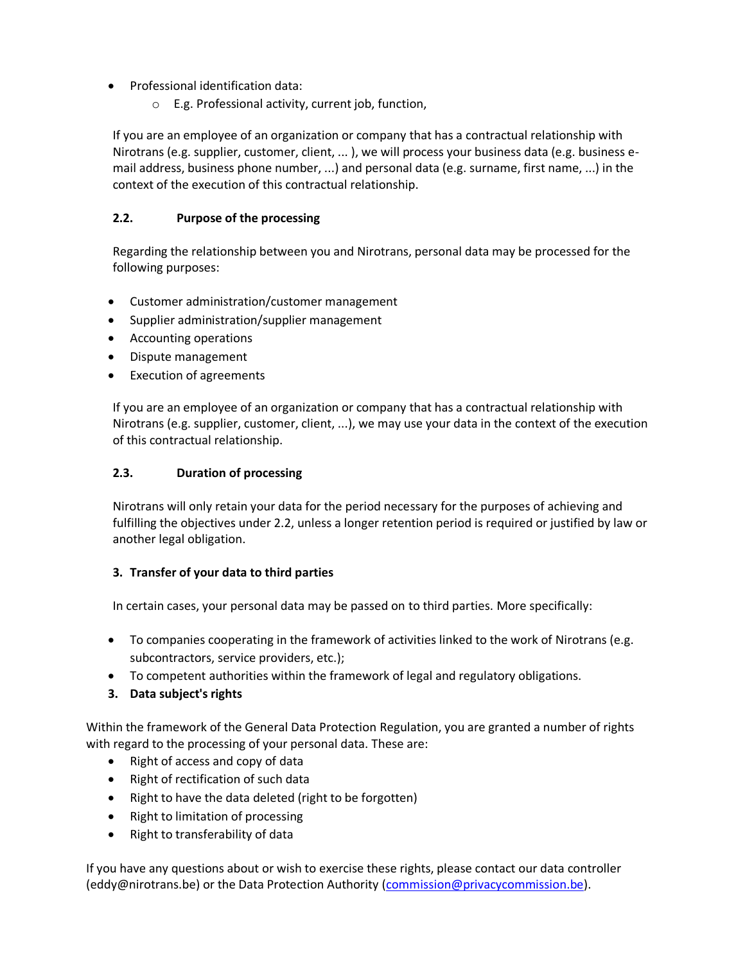- Professional identification data:
	- o E.g. Professional activity, current job, function,

If you are an employee of an organization or company that has a contractual relationship with Nirotrans (e.g. supplier, customer, client, ... ), we will process your business data (e.g. business email address, business phone number, ...) and personal data (e.g. surname, first name, ...) in the context of the execution of this contractual relationship.

# **2.2. Purpose of the processing**

Regarding the relationship between you and Nirotrans, personal data may be processed for the following purposes:

- Customer administration/customer management
- Supplier administration/supplier management
- Accounting operations
- Dispute management
- Execution of agreements

If you are an employee of an organization or company that has a contractual relationship with Nirotrans (e.g. supplier, customer, client, ...), we may use your data in the context of the execution of this contractual relationship.

# **2.3. Duration of processing**

Nirotrans will only retain your data for the period necessary for the purposes of achieving and fulfilling the objectives under 2.2, unless a longer retention period is required or justified by law or another legal obligation.

# **3. Transfer of your data to third parties**

In certain cases, your personal data may be passed on to third parties. More specifically:

- To companies cooperating in the framework of activities linked to the work of Nirotrans (e.g. subcontractors, service providers, etc.);
- To competent authorities within the framework of legal and regulatory obligations.
- **3. Data subject's rights**

Within the framework of the General Data Protection Regulation, you are granted a number of rights with regard to the processing of your personal data. These are:

- Right of access and copy of data
- Right of rectification of such data
- Right to have the data deleted (right to be forgotten)
- Right to limitation of processing
- Right to transferability of data

If you have any questions about or wish to exercise these rights, please contact our data controller (eddy@nirotrans.be) or the Data Protection Authority [\(commission@privacycommission.be\)](mailto:commission@privacycommission.be).